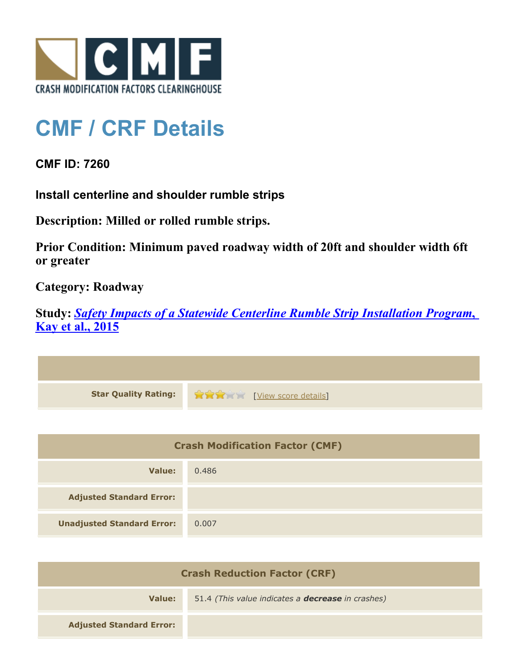

## **CMF / CRF Details**

**CMF ID: 7260**

**Install centerline and shoulder rumble strips**

**Description: Milled or rolled rumble strips.**

**Prior Condition: Minimum paved roadway width of 20ft and shoulder width 6ft or greater**

**Category: Roadway**

**Study:** *[Safety Impacts of a Statewide Centerline Rumble Strip Installation Program](http://www.cmfclearinghouse.org/study_detail.cfm?stid=421)***[,](http://www.cmfclearinghouse.org/study_detail.cfm?stid=421) [Kay et al., 2015](http://www.cmfclearinghouse.org/study_detail.cfm?stid=421)**



| <b>Crash Modification Factor (CMF)</b> |       |
|----------------------------------------|-------|
| Value:                                 | 0.486 |
| <b>Adjusted Standard Error:</b>        |       |
| <b>Unadjusted Standard Error:</b>      | 0.007 |

| <b>Crash Reduction Factor (CRF)</b> |                                                          |
|-------------------------------------|----------------------------------------------------------|
| Value:                              | 51.4 (This value indicates a <b>decrease</b> in crashes) |
| <b>Adjusted Standard Error:</b>     |                                                          |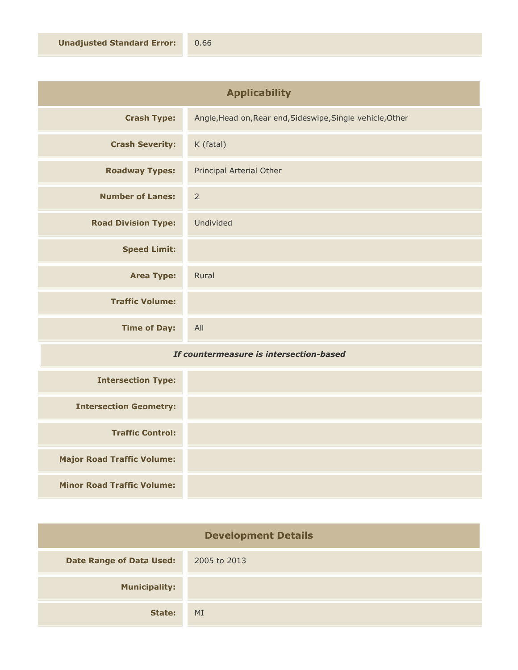| <b>Applicability</b>       |                                                            |
|----------------------------|------------------------------------------------------------|
| <b>Crash Type:</b>         | Angle, Head on, Rear end, Sideswipe, Single vehicle, Other |
| <b>Crash Severity:</b>     | K (fatal)                                                  |
| <b>Roadway Types:</b>      | Principal Arterial Other                                   |
| <b>Number of Lanes:</b>    | $\overline{2}$                                             |
| <b>Road Division Type:</b> | Undivided                                                  |
| <b>Speed Limit:</b>        |                                                            |
| <b>Area Type:</b>          | Rural                                                      |
| <b>Traffic Volume:</b>     |                                                            |
| <b>Time of Day:</b>        | All                                                        |

## *If countermeasure is intersection-based*

| <b>Intersection Type:</b>         |  |
|-----------------------------------|--|
| <b>Intersection Geometry:</b>     |  |
| <b>Traffic Control:</b>           |  |
| <b>Major Road Traffic Volume:</b> |  |
| <b>Minor Road Traffic Volume:</b> |  |

| <b>Development Details</b>      |              |
|---------------------------------|--------------|
| <b>Date Range of Data Used:</b> | 2005 to 2013 |
| <b>Municipality:</b>            |              |
| State:                          | MI           |